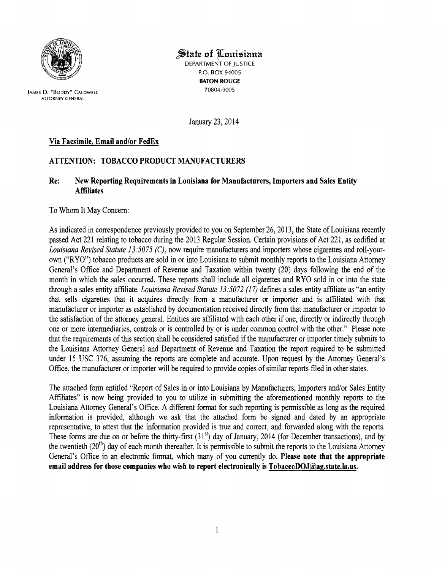

State of Louisiana

DEPARTMENT OF JUSTICE P.O. BOX 94005 BATON ROUGE

70804-9005 JAMES D. "BUDDY" CALDWElL ATTORNEY GENERAL

January 23, 2014

## Via Facsimile, Email and/or FedEx

## ATTENTION: TOBACCO PRODUCT MANUFACTURERS

## Re: New Reporting Requirements in Louisiana for Manufacturers, Importers and Sales Entity **Affiliates**

## To Whom It May Concern:

As indicated in correspondence previously provided to you on September 26, 2013, the State of Louisiana recently passed Act 221 relating to tobacco during the 2013 Regular Session. Certain provisions of Act 221, as codified at *Louisiana Revised Statute 13:5075 (C),* now require manufacturers and importers whose cigarettes and roll-yourown ("RYO") tobacco products are sold in or into Louisiana to submit monthly reports to the Louisiana Attorney General's Office and Department of Revenue and Taxation within twenty (20) days following the end of the month in which the sales occurred. These reports shall include all cigarettes and RYO sold in or into the state through a sales entity affiliate. *Louisiana Revised Statute 13:5072* (17) defines a sales entity affiliate as "an entity that sells cigarettes that it acquires directly from a manufacturer or importer and is affiliated with that manufacturer or importer as established by documentation received directly from that manufacturer or importer to the satisfaction of the attorney general. Entities are affiliated with each other if one, directly or indirectly through one or more intermediaries, controls or is controlled by or is under common control with the other." Please note that the requirements of this section shall be considered satisfied if the manufacturer or importer timely submits to the Louisiana Attorney General and Department of Revenue and Taxation the report required to be submitted under 15 USC 376, assuming the reports are complete and accurate. Upon request by the Attorney General's Office, the manufacturer or importer will be required to provide copies of similar reports filed in other states.

The attached form entitled "Report of Sales in or into Louisiana by Manufacturers, Importers and/or Sales Entity Affiliates" is now being provided to you to utilize in submitting the aforementioned monthly reports to the Louisiana Attorney General's Office. A different format for such reporting is permissible as long as the required information is provided, although we ask that the attached form be signed and dated by an appropriate representative, to attest that the information provided is true and correct, and forwarded along with the reports. These forms are due on or before the thirty-first  $(31<sup>st</sup>)$  day of January, 2014 (for December transactions), and by the twentieth  $(20<sup>th</sup>)$  day of each month thereafter. It is permissible to submit the reports to the Louisiana Attorney General's Office in an electronic format, which many of you currently do. Please note that the appropriate email address for those companies who wish to report electronically is  $TobaccoDOJ@aq.state.$  la.us.